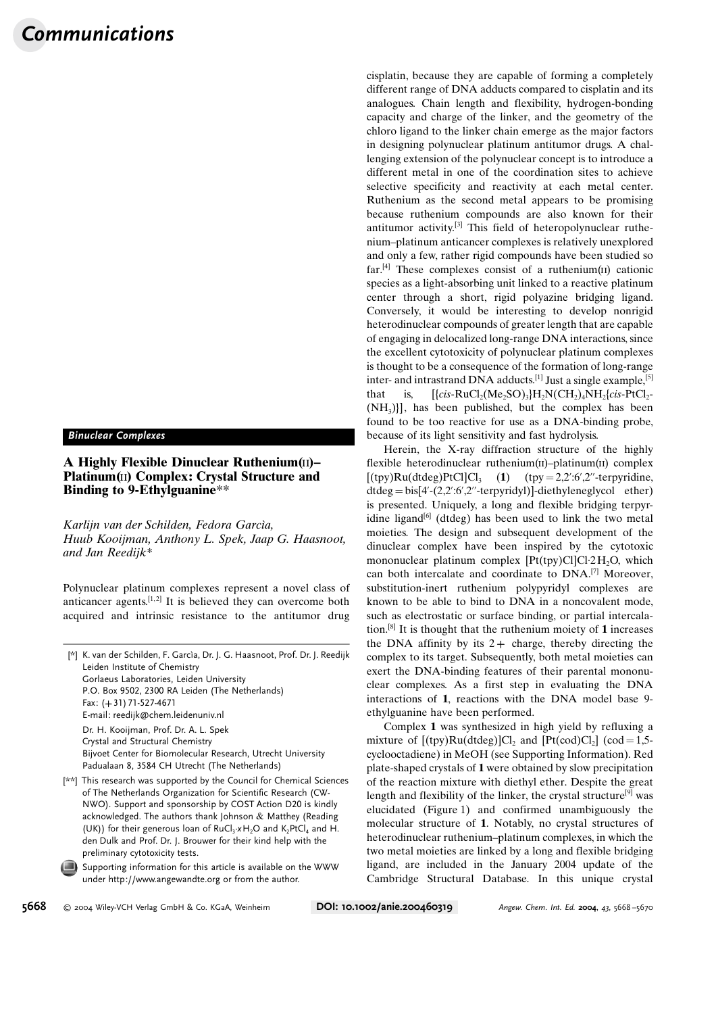## Binuclear Complexes

## A Highly Flexible Dinuclear Ruthenium(ii)– Platinum(ii) Complex: Crystal Structure and Binding to 9-Ethylguanine\*\*

Karlijn van der Schilden, Fedora Garcìa, Huub Kooijman, Anthony L. Spek, Jaap G. Haasnoot, and Jan Reedijk\*

Polynuclear platinum complexes represent a novel class of anticancer agents.  $[1, 2]$  It is believed they can overcome both acquired and intrinsic resistance to the antitumor drug

[\*] K. van der Schilden, F. Garcia, Dr. J. G. Haasnoot, Prof. Dr. J. Reedijk Leiden Institute of Chemistry Gorlaeus Laboratories, Leiden University P.O. Box 9502, 2300 RA Leiden (The Netherlands) Fax: (+31) 71-527-4671 E-mail: reedijk@chem.leidenuniv.nl Dr. H. Kooijman, Prof. Dr. A. L. Spek Crystal and Structural Chemistry Bijvoet Center for Biomolecular Research, Utrecht University Padualaan 8, 3584 CH Utrecht (The Netherlands)

- [\*\*] This research was supported by the Council for Chemical Sciences of The Netherlands Organization for Scientific Research (CW-NWO). Support and sponsorship by COST Action D20 is kindly acknowledged. The authors thank Johnson & Matthey (Reading (UK)) for their generous loan of  $RuCl<sub>3</sub>·xH<sub>2</sub>O$  and  $K<sub>2</sub>PtCl<sub>4</sub>$  and H. den Dulk and Prof. Dr. J. Brouwer for their kind help with the preliminary cytotoxicity tests.
	- Supporting information for this article is available on the WWW under http://www.angewandte.org or from the author.

cisplatin, because they are capable of forming a completely different range of DNA adducts compared to cisplatin and its analogues. Chain length and flexibility, hydrogen-bonding capacity and charge of the linker, and the geometry of the chloro ligand to the linker chain emerge as the major factors in designing polynuclear platinum antitumor drugs. A challenging extension of the polynuclear concept is to introduce a different metal in one of the coordination sites to achieve selective specificity and reactivity at each metal center. Ruthenium as the second metal appears to be promising because ruthenium compounds are also known for their antitumor activity.[3] This field of heteropolynuclear ruthenium–platinum anticancer complexes is relatively unexplored and only a few, rather rigid compounds have been studied so far.<sup>[4]</sup> These complexes consist of a ruthenium( $\text{II}$ ) cationic species as a light-absorbing unit linked to a reactive platinum center through a short, rigid polyazine bridging ligand. Conversely, it would be interesting to develop nonrigid heterodinuclear compounds of greater length that are capable of engaging in delocalized long-range DNA interactions, since the excellent cytotoxicity of polynuclear platinum complexes is thought to be a consequence of the formation of long-range inter- and intrastrand DNA adducts.<sup>[1]</sup> Just a single example,<sup>[5]</sup> that is,  $[\{cis-RuCl_2(Me_2SO)_3\}H_2N(CH_2)_4NH_2\{cis-PtCl_2 (NH<sub>3</sub>)$ ], has been published, but the complex has been found to be too reactive for use as a DNA-binding probe, because of its light sensitivity and fast hydrolysis.

Herein, the X-ray diffraction structure of the highly flexible heterodinuclear ruthenium(ii)–platinum(ii) complex  $[(\text{typ})Ru(\text{dtdeg})PtCl]Cl_3$  (1)  $(\text{typ }= 2,2':6',2''\text{-terpyridine})$ dtdeg = bis[4'-(2,2':6',2''-terpyridyl)]-diethyleneglycol ether) is presented. Uniquely, a long and flexible bridging terpyridine ligand $[6]$  (dtdeg) has been used to link the two metal moieties. The design and subsequent development of the dinuclear complex have been inspired by the cytotoxic mononuclear platinum complex  $[Pt(tpy)Cl]Cl·2H<sub>2</sub>O$ , which can both intercalate and coordinate to DNA.[7] Moreover, substitution-inert ruthenium polypyridyl complexes are known to be able to bind to DNA in a noncovalent mode, such as electrostatic or surface binding, or partial intercalation.<sup>[8]</sup> It is thought that the ruthenium moiety of 1 increases the DNA affinity by its  $2+$  charge, thereby directing the complex to its target. Subsequently, both metal moieties can exert the DNA-binding features of their parental mononuclear complexes. As a first step in evaluating the DNA interactions of 1, reactions with the DNA model base 9 ethylguanine have been performed.

Complex 1 was synthesized in high yield by refluxing a mixture of  $[(tpy)Ru(dtdeg)]Cl$ , and  $[Pt(cod)Cl<sub>2</sub>] (cod = 1.5$ cyclooctadiene) in MeOH (see Supporting Information). Red plate-shaped crystals of 1 were obtained by slow precipitation of the reaction mixture with diethyl ether. Despite the great length and flexibility of the linker, the crystal structure<sup>[9]</sup> was elucidated (Figure 1) and confirmed unambiguously the molecular structure of 1. Notably, no crystal structures of heterodinuclear ruthenium–platinum complexes, in which the two metal moieties are linked by a long and flexible bridging ligand, are included in the January 2004 update of the Cambridge Structural Database. In this unique crystal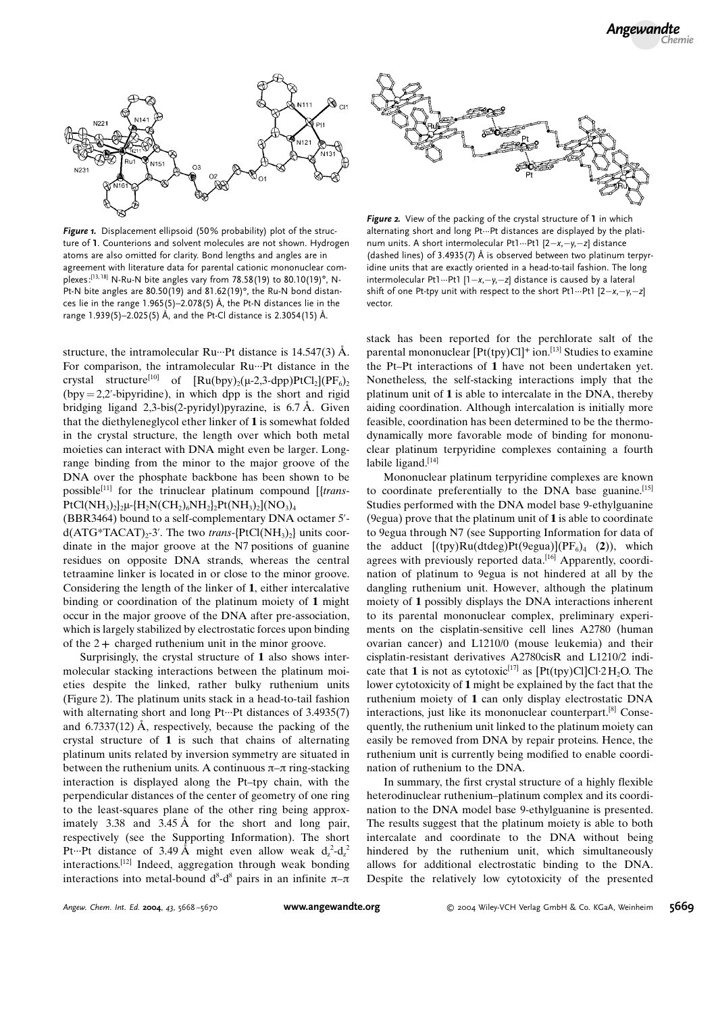

Figure 1. Displacement ellipsoid (50% probability) plot of the structure of 1. Counterions and solvent molecules are not shown. Hydrogen atoms are also omitted for clarity. Bond lengths and angles are in agreement with literature data for parental cationic mononuclear complexes:<sup>[13, 18]</sup> N-Ru-N bite angles vary from 78.58(19) to 80.10(19)°, N-Pt-N bite angles are  $80.50(19)$  and  $81.62(19)$ °, the Ru-N bond distances lie in the range  $1.965(5)$ -2.078(5) Å, the Pt-N distances lie in the range 1.939(5)-2.025(5) Å, and the Pt-Cl distance is 2.3054(15) Å.

structure, the intramolecular Ru $\cdots$ Pt distance is 14.547(3) Å. For comparison, the intramolecular Ru-··Pt distance in the crystal structure<sup>[10]</sup> of  $\text{[Ru(bpy),(\mu-2,3-dpp)PtCl}_2\text{][PF}_6)$  $(bypy = 2,2'-bipyridine)$ , in which dpp is the short and rigid bridging ligand  $2,3-bis(2-pyridy)$  pyrazine, is 6.7 Å. Given that the diethyleneglycol ether linker of 1 is somewhat folded in the crystal structure, the length over which both metal moieties can interact with DNA might even be larger. Longrange binding from the minor to the major groove of the DNA over the phosphate backbone has been shown to be possible<sup>[11]</sup> for the trinuclear platinum compound  $[$ {trans- $PtCl(NH_3)_2\mu$ -{H<sub>2</sub>N(CH<sub>2</sub>)<sub>6</sub>NH<sub>2</sub>}<sub>2</sub>Pt(NH<sub>3</sub>)<sub>2</sub>](NO<sub>3</sub>)<sub>4</sub>

(BBR3464) bound to a self-complementary DNA octamer 5'  $d(ATG*TACAT)<sub>2</sub>$ -3'. The two *trans*-{PtCl(NH<sub>3</sub>)<sub>2</sub>} units coordinate in the major groove at the N7 positions of guanine residues on opposite DNA strands, whereas the central tetraamine linker is located in or close to the minor groove. Considering the length of the linker of 1, either intercalative binding or coordination of the platinum moiety of 1 might occur in the major groove of the DNA after pre-association, which is largely stabilized by electrostatic forces upon binding of the  $2+$  charged ruthenium unit in the minor groove.

Surprisingly, the crystal structure of 1 also shows intermolecular stacking interactions between the platinum moieties despite the linked, rather bulky ruthenium units (Figure 2). The platinum units stack in a head-to-tail fashion with alternating short and long Pt…Pt distances of 3.4935(7) and  $6.7337(12)$  Å, respectively, because the packing of the crystal structure of 1 is such that chains of alternating platinum units related by inversion symmetry are situated in between the ruthenium units. A continuous  $\pi-\pi$  ring-stacking interaction is displayed along the Pt–tpy chain, with the perpendicular distances of the center of geometry of one ring to the least-squares plane of the other ring being approximately  $3.38$  and  $3.45 \text{ Å}$  for the short and long pair, respectively (see the Supporting Information). The short Pt...Pt distance of 3.49 Å might even allow weak  $d_z^2-d_z^2$ interactions.[12] Indeed, aggregation through weak bonding interactions into metal-bound  $d^8-d^8$  pairs in an infinite  $\pi-\pi$ 



Figure 2. View of the packing of the crystal structure of 1 in which alternating short and long Pt···Pt distances are displayed by the platinum units. A short intermolecular Pt1...Pt1  $[2-x, -y, -z]$  distance (dashed lines) of 3.4935(7)  $\AA$  is observed between two platinum terpyridine units that are exactly oriented in a head-to-tail fashion. The long intermolecular Pt1...Pt1  $[1-x,-y,-z]$  distance is caused by a lateral shift of one Pt-tpy unit with respect to the short Pt1...Pt1  $[2-x, -y, -z]$ vector.

stack has been reported for the perchlorate salt of the parental mononuclear  $[Pt(tpy)Cl]^+$  ion.<sup>[13]</sup> Studies to examine the Pt–Pt interactions of 1 have not been undertaken yet. Nonetheless, the self-stacking interactions imply that the platinum unit of 1 is able to intercalate in the DNA, thereby aiding coordination. Although intercalation is initially more feasible, coordination has been determined to be the thermodynamically more favorable mode of binding for mononuclear platinum terpyridine complexes containing a fourth labile ligand.<sup>[14]</sup>

Mononuclear platinum terpyridine complexes are known to coordinate preferentially to the DNA base guanine.[15] Studies performed with the DNA model base 9-ethylguanine (9egua) prove that the platinum unit of  $1$  is able to coordinate to 9egua through N7 (see Supporting Information for data of the adduct  $[(typ)Ru(dtdeg)Pt(9egua)](PF_6)_4$  (2)), which agrees with previously reported data.<sup>[16]</sup> Apparently, coordination of platinum to 9egua is not hindered at all by the dangling ruthenium unit. However, although the platinum moiety of 1 possibly displays the DNA interactions inherent to its parental mononuclear complex, preliminary experiments on the cisplatin-sensitive cell lines A2780 (human ovarian cancer) and L1210/0 (mouse leukemia) and their cisplatin-resistant derivatives A2780cisR and L1210/2 indicate that 1 is not as cytotoxic<sup>[17]</sup> as  $[Pt(tpy)Cl]Cl·2H<sub>2</sub>O$ . The lower cytotoxicity of 1 might be explained by the fact that the ruthenium moiety of 1 can only display electrostatic DNA interactions, just like its mononuclear counterpart.[8] Consequently, the ruthenium unit linked to the platinum moiety can easily be removed from DNA by repair proteins. Hence, the ruthenium unit is currently being modified to enable coordination of ruthenium to the DNA.

In summary, the first crystal structure of a highly flexible heterodinuclear ruthenium–platinum complex and its coordination to the DNA model base 9-ethylguanine is presented. The results suggest that the platinum moiety is able to both intercalate and coordinate to the DNA without being hindered by the ruthenium unit, which simultaneously allows for additional electrostatic binding to the DNA. Despite the relatively low cytotoxicity of the presented